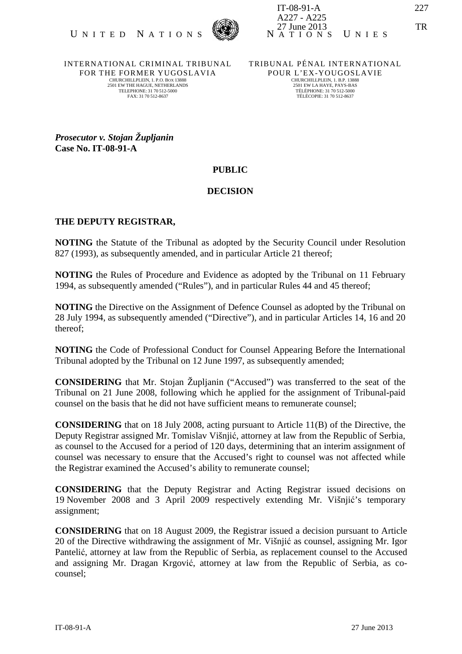

INTERNATIONAL CRIMINAL TRIBUNAL FOR THE FORMER YUGOSLAVIA CHURCHILLPLEIN, 1. P.O. BOX 13888 2501 EW THE HAGUE, NETHERLANDS TELEPHONE: 31 70 512-5000 FAX: 31 70 512-8637

TRIBUNAL PÉNAL INTERNATIONAL POUR L'EX-YOUGOSLAVIE CHURCHILLPLEIN, 1. B.P. 13888 2501 EW LA HAYE, PAYS-BAS TÉLÉPHONE: 31 70 512-5000 TÉLÉCOPIE: 31 70 512-8637

*Prosecutor v. Stojan Župljanin*  **Case No. IT-08-91-A** 

## **PUBLIC**

## **DECISION**

## **THE DEPUTY REGISTRAR,**

**NOTING** the Statute of the Tribunal as adopted by the Security Council under Resolution 827 (1993), as subsequently amended, and in particular Article 21 thereof:

**NOTING** the Rules of Procedure and Evidence as adopted by the Tribunal on 11 February 1994, as subsequently amended ("Rules"), and in particular Rules 44 and 45 thereof;

**NOTING** the Directive on the Assignment of Defence Counsel as adopted by the Tribunal on 28 July 1994, as subsequently amended ("Directive"), and in particular Articles 14, 16 and 20 thereof;

**NOTING** the Code of Professional Conduct for Counsel Appearing Before the International Tribunal adopted by the Tribunal on 12 June 1997, as subsequently amended;

**CONSIDERING** that Mr. Stojan Župljanin ("Accused") was transferred to the seat of the Tribunal on 21 June 2008, following which he applied for the assignment of Tribunal-paid counsel on the basis that he did not have sufficient means to remunerate counsel;

**CONSIDERING** that on 18 July 2008, acting pursuant to Article 11(B) of the Directive, the Deputy Registrar assigned Mr. Tomislav Višnjić, attorney at law from the Republic of Serbia, as counsel to the Accused for a period of 120 days, determining that an interim assignment of counsel was necessary to ensure that the Accused's right to counsel was not affected while the Registrar examined the Accused's ability to remunerate counsel;

**CONSIDERING** that the Deputy Registrar and Acting Registrar issued decisions on 19 November 2008 and 3 April 2009 respectively extending Mr. Višnjić's temporary assignment;

**CONSIDERING** that on 18 August 2009, the Registrar issued a decision pursuant to Article 20 of the Directive withdrawing the assignment of Mr. Višnjić as counsel, assigning Mr. Igor Pantelić, attorney at law from the Republic of Serbia, as replacement counsel to the Accused and assigning Mr. Dragan Krgović, attorney at law from the Republic of Serbia, as cocounsel;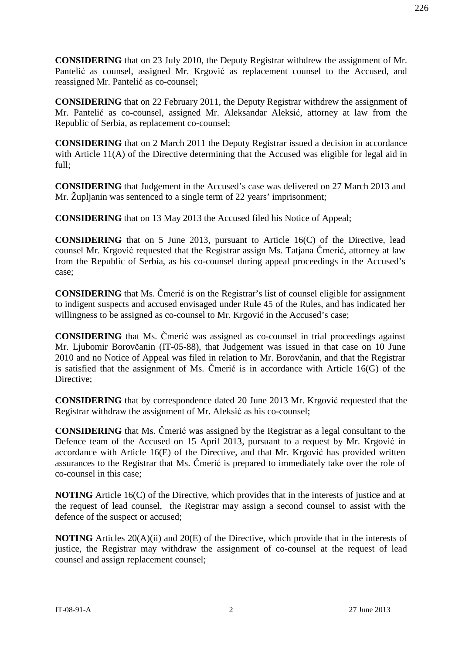**CONSIDERING** that on 22 February 2011, the Deputy Registrar withdrew the assignment of Mr. Pantelić as co-counsel, assigned Mr. Aleksandar Aleksić, attorney at law from the Republic of Serbia, as replacement co-counsel;

**CONSIDERING** that on 2 March 2011 the Deputy Registrar issued a decision in accordance with Article 11(A) of the Directive determining that the Accused was eligible for legal aid in full;

**CONSIDERING** that Judgement in the Accused's case was delivered on 27 March 2013 and Mr. Župljanin was sentenced to a single term of 22 years' imprisonment;

**CONSIDERING** that on 13 May 2013 the Accused filed his Notice of Appeal;

**CONSIDERING** that on 5 June 2013, pursuant to Article 16(C) of the Directive, lead counsel Mr. Krgović requested that the Registrar assign Ms. Tatjana Čmerić, attorney at law from the Republic of Serbia, as his co-counsel during appeal proceedings in the Accused's case;

**CONSIDERING** that Ms. Čmerić is on the Registrar's list of counsel eligible for assignment to indigent suspects and accused envisaged under Rule 45 of the Rules, and has indicated her willingness to be assigned as co-counsel to Mr. Krgović in the Accused's case;

**CONSIDERING** that Ms. Čmerić was assigned as co-counsel in trial proceedings against Mr. Ljubomir Borovčanin (IT-05-88), that Judgement was issued in that case on 10 June 2010 and no Notice of Appeal was filed in relation to Mr. Borovčanin, and that the Registrar is satisfied that the assignment of Ms. Čmerić is in accordance with Article 16(G) of the Directive;

**CONSIDERING** that by correspondence dated 20 June 2013 Mr. Krgović requested that the Registrar withdraw the assignment of Mr. Aleksić as his co-counsel;

**CONSIDERING** that Ms. Čmerić was assigned by the Registrar as a legal consultant to the Defence team of the Accused on 15 April 2013, pursuant to a request by Mr. Krgović in accordance with Article 16(E) of the Directive, and that Mr. Krgović has provided written assurances to the Registrar that Ms. Čmerić is prepared to immediately take over the role of co-counsel in this case;

**NOTING** Article 16(C) of the Directive, which provides that in the interests of justice and at the request of lead counsel, the Registrar may assign a second counsel to assist with the defence of the suspect or accused;

**NOTING** Articles 20(A)(ii) and 20(E) of the Directive, which provide that in the interests of justice, the Registrar may withdraw the assignment of co-counsel at the request of lead counsel and assign replacement counsel;